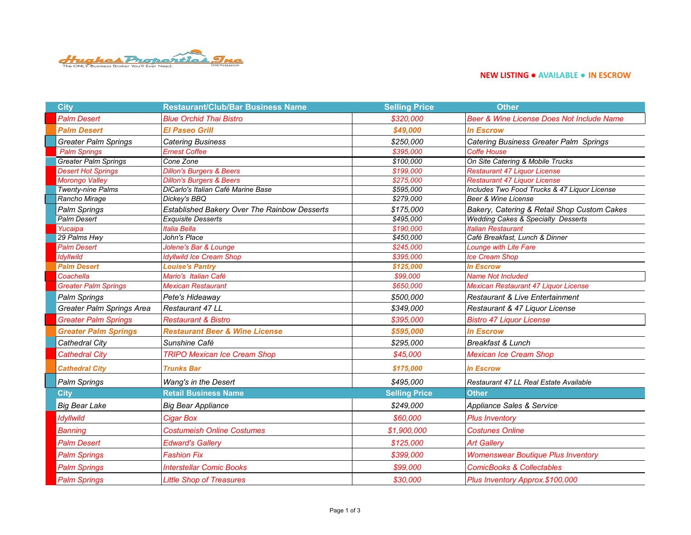

## **NEW LISTING ● AVAILABLE ● IN ESCROW**

| <b>City</b>                 | <b>Restaurant/Club/Bar Business Name</b>            | <b>Selling Price</b> | <b>Other</b>                                  |
|-----------------------------|-----------------------------------------------------|----------------------|-----------------------------------------------|
| <b>Palm Desert</b>          | <b>Blue Orchid Thai Bistro</b>                      | \$320,000            | Beer & Wine License Does Not Include Name     |
| <b>Palm Desert</b>          | <b>El Paseo Grill</b>                               | \$49,000             | <b>In Escrow</b>                              |
| <b>Greater Palm Springs</b> | <b>Catering Business</b>                            | \$250,000            | Catering Business Greater Palm Springs        |
| <b>Palm Springs</b>         | <b>Ernest Coffee</b>                                | \$395.000            | <b>Coffe House</b>                            |
| <b>Greater Palm Springs</b> | Cone Zone                                           | \$100,000            | On Site Catering & Mobile Trucks              |
| <b>Desert Hot Springs</b>   | <b>Dillon's Burgers &amp; Beers</b>                 | \$199,000            | <b>Restaurant 47 Liquor License</b>           |
| <b>Morongo Valley</b>       | <b>Dillon's Burgers &amp; Beers</b>                 | \$275,000            | <b>Restaurant 47 Liquor License</b>           |
| <b>Twenty-nine Palms</b>    | DiCarlo's Italian Café Marine Base                  | \$595,000            | Includes Two Food Trucks & 47 Liquor License  |
| Rancho Mirage               | Dickey's BBQ                                        | \$279,000            | Beer & Wine License                           |
| <b>Palm Springs</b>         | <b>Established Bakery Over The Rainbow Desserts</b> | \$175,000            | Bakery, Catering & Retail Shop Custom Cakes   |
| Palm Desert                 | <b>Exquisite Desserts</b>                           | \$495,000            | <b>Wedding Cakes &amp; Specialty Desserts</b> |
| Yucaipa                     | Italia Bella                                        | \$190,000            | <b>Italian Restaurant</b>                     |
| 29 Palms Hwy                | John's Place                                        | \$450,000            | Café Breakfast, Lunch & Dinner                |
| <b>Palm Desert</b>          | Jolene's Bar & Lounge                               | \$245,000            | Lounge with Lite Fare                         |
| Idyllwild                   | <b>Idyllwild Ice Cream Shop</b>                     | \$395,000            | <b>Ice Cream Shop</b>                         |
| <b>Palm Desert</b>          | <b>Louise's Pantry</b>                              | \$125,000            | <b>In Escrow</b>                              |
| Coachella                   | Mario's Italian Café                                | \$99,000             | <b>Name Not Included</b>                      |
| <b>Greater Palm Springs</b> | <b>Mexican Restaurant</b>                           | \$650,000            | Mexican Restaurant 47 Liquor License          |
| <b>Palm Springs</b>         | Pete's Hideaway                                     | \$500,000            | Restaurant & Live Entertainment               |
| Greater Palm Springs Area   | Restaurant 47 LL                                    | \$349,000            | Restaurant & 47 Liquor License                |
| <b>Greater Palm Springs</b> | <b>Restaurant &amp; Bistro</b>                      | \$395,000            | <b>Bistro 47 Liquor License</b>               |
| <b>Greater Palm Springs</b> | <b>Restaurant Beer &amp; Wine License</b>           | \$595,000            | <b>In Escrow</b>                              |
| Cathedral City              | Sunshine Café                                       | \$295,000            | Breakfast & Lunch                             |
| <b>Cathedral City</b>       | <b>TRIPO Mexican Ice Cream Shop</b>                 | \$45,000             | <b>Mexican Ice Cream Shop</b>                 |
| <b>Cathedral City</b>       | <b>Trunks Bar</b>                                   | \$175,000            | <b>In Escrow</b>                              |
| Palm Springs                | Wang's in the Desert                                | \$495,000            | Restaurant 47 LL Real Estate Available        |
| <b>City</b>                 | <b>Retail Business Name</b>                         | <b>Selling Price</b> | <b>Other</b>                                  |
| <b>Big Bear Lake</b>        | <b>Big Bear Appliance</b>                           | \$249,000            | Appliance Sales & Service                     |
| <b>Idyllwild</b>            | <b>Cigar Box</b>                                    | \$60,000             | <b>Plus Inventory</b>                         |
| <b>Banning</b>              | <b>Costumeish Online Costumes</b>                   | \$1,900,000          | <b>Costunes Online</b>                        |
| <b>Palm Desert</b>          | <b>Edward's Gallery</b>                             | \$125,000            | <b>Art Gallery</b>                            |
| <b>Palm Springs</b>         | <b>Fashion Fix</b>                                  | \$399,000            | <b>Womenswear Boutique Plus Inventory</b>     |
| <b>Palm Springs</b>         | <b>Interstellar Comic Books</b>                     | \$99,000             | <b>ComicBooks &amp; Collectables</b>          |
| <b>Palm Springs</b>         | <b>Little Shop of Treasures</b>                     | \$30,000             | Plus Inventory Approx.\$100,000               |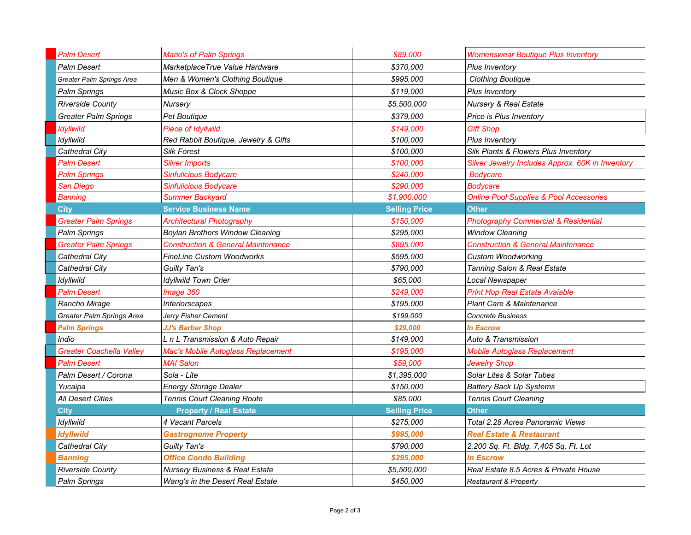| <b>Palm Desert</b>          | <b>Mario's of Palm Springs</b>            | \$89,000             | <b>Womenswear Boutique Plus Inventory</b>          |
|-----------------------------|-------------------------------------------|----------------------|----------------------------------------------------|
| Palm Desert                 | MarketplaceTrue Value Hardware            | \$370.000            | <b>Plus Inventory</b>                              |
| Greater Palm Springs Area   | Men & Women's Clothing Boutique           | \$995,000            | <b>Clothing Boutique</b>                           |
| Palm Springs                | Music Box & Clock Shoppe                  | \$119,000            | <b>Plus Inventory</b>                              |
| <b>Riverside County</b>     | Nursery                                   | \$5,500,000          | <b>Nursery &amp; Real Estate</b>                   |
| Greater Palm Springs        | <b>Pet Boutique</b>                       | \$379,000            | <b>Price is Plus Inventory</b>                     |
| Idyllwild                   | <b>Piece of Idyllwild</b>                 | \$149,000            | Gift Shop                                          |
| Idyllwild                   | Red Rabbit Boutique, Jewelry & Gifts      | \$100,000            | Plus Inventory                                     |
| Cathedral City              | <b>Silk Forest</b>                        | \$100.000            | Silk Plants & Flowers Plus Inventory               |
| <b>Palm Desert</b>          | <b>Silver Imports</b>                     | \$100.000            | Silver Jewelry Includes Approx. 60K in Inventory   |
| <b>Palm Springs</b>         | Sinfulicious Bodycare                     | \$240,000            | <b>Bodycare</b>                                    |
| San Diego                   | Sinfulicious Bodycare                     | \$290,000            | Bodvcare                                           |
| <b>Banning</b>              | <b>Summer Backyard</b>                    | \$1,900,000          | <b>Online Pool Supplies &amp; Pool Accessories</b> |
| <b>City</b>                 | <b>Service Business Name</b>              | <b>Selling Price</b> | <b>Other</b>                                       |
| <b>Greater Palm Springs</b> | <b>Architectural Photography</b>          | \$150,000            | <b>Photography Commercial &amp; Residential</b>    |
| Palm Springs                | <b>Boylan Brothers Window Cleaning</b>    | \$295,000            | <b>Window Cleaning</b>                             |
| <b>Greater Palm Springs</b> | Construction & General Maintenance        | \$895,000            | <b>Construction &amp; General Maintenance</b>      |
| Cathedral City              | <b>FineLine Custom Woodworks</b>          | \$595.000            | <b>Custom Woodworking</b>                          |
| Cathedral City              | Guilty Tan's                              | \$790.000            | Tanning Salon & Real Estate                        |
| Idyllwild                   | <b>Idyllwild Town Crier</b>               | \$65,000             | Local Newspaper                                    |
| Palm Desert                 | Image 360                                 | \$249.000            | <b>Print Hop Real Estate Avaiable</b>              |
| Rancho Mirage               | <i><u><b>Interiorscapes</b></u></i>       | \$195,000            | <b>Plant Care &amp; Maintenance</b>                |
| Greater Palm Springs Area   | Jerry Fisher Cement                       | \$199,000            | <b>Concrete Business</b>                           |
| <b>Palm Springs</b>         | <b>JJ's Barber Shop</b>                   | \$29,000             | In Escrow                                          |
| Indio                       | L n L Transmission & Auto Repair          | \$149,000            | Auto & Transmission                                |
| Greater Coachella Valley    | <b>Mac's Mobile Autoglass Replacement</b> | \$195,000            | <b>Mobile Autoglass Replacement</b>                |
| Palm Desert                 | <b>MAI Salon</b>                          | \$59,000             | Jewelry Shop                                       |
| Palm Desert / Corona        | Sola - Lite                               | \$1,395,000          | Solar Lites & Solar Tubes                          |
| Yucaipa                     | <b>Energy Storage Dealer</b>              | \$150,000            | <b>Battery Back Up Systems</b>                     |
| All Desert Cities           | <b>Tennis Court Cleaning Route</b>        | \$85,000             | <b>Tennis Court Cleaning</b>                       |
| <b>City</b>                 | <b>Property / Real Estate</b>             | <b>Selling Price</b> | Other                                              |
| Idyllwild                   | 4 Vacant Parcels                          | \$275,000            | Total 2.28 Acres Panoramic Views                   |
| Idyllwild                   | <b>Gastrognome Property</b>               | \$995,000            | Real Estate & Restaurant                           |
| Cathedral City              | Guilty Tan's                              | \$790,000            | 2,200 Sq. Ft. Bldg. 7,405 Sq. Ft. Lot              |
| Banning                     | <b>Office Condo Building</b>              | \$295,000            | <b>In Escrow</b>                                   |
| <b>Riverside County</b>     | <b>Nursery Business &amp; Real Estate</b> | \$5,500,000          | Real Estate 8.5 Acres & Private House              |
| Palm Springs                | Wang's in the Desert Real Estate          | \$450,000            | <b>Restaurant &amp; Property</b>                   |